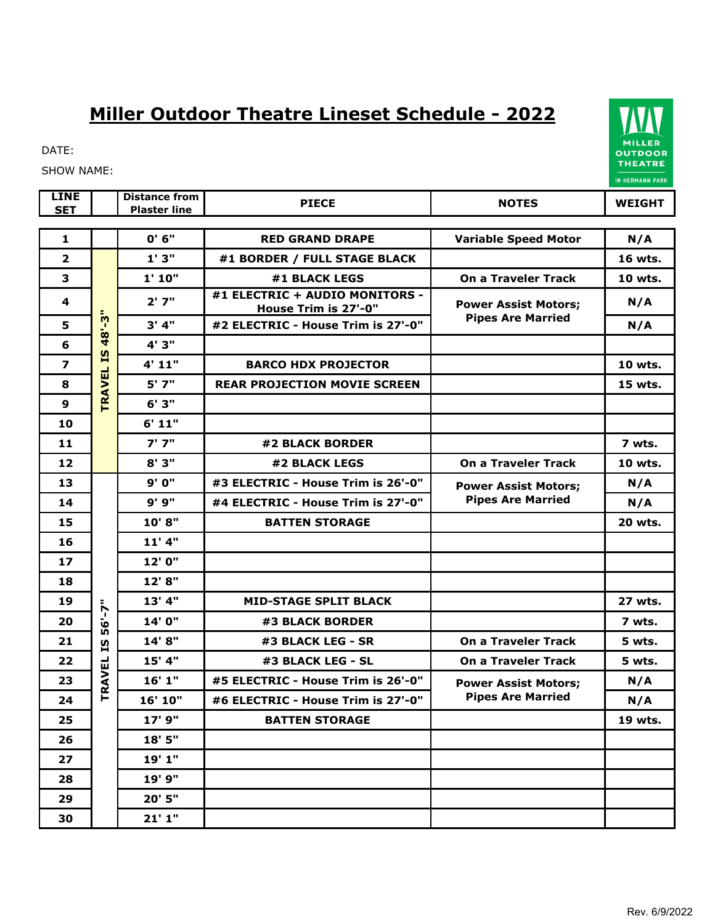## **Miller Outdoor Theatre Lineset Schedule - 2022**



SHOW NAME:

| <b>LINE</b><br><b>SET</b> |                                            | <b>Distance from</b><br><b>Plaster line</b> | <b>PIECE</b>                                           | <b>NOTES</b>                                            | <b>WEIGHT</b>  |
|---------------------------|--------------------------------------------|---------------------------------------------|--------------------------------------------------------|---------------------------------------------------------|----------------|
| $\mathbf{1}$              |                                            | 0' 6''                                      | <b>RED GRAND DRAPE</b>                                 | <b>Variable Speed Motor</b>                             | N/A            |
| $\overline{\mathbf{2}}$   | 48'-3"<br>$\overline{15}$<br><b>TRAVEL</b> | 1'3''                                       | #1 BORDER / FULL STAGE BLACK                           |                                                         | 16 wts.        |
| 3                         |                                            | 1' 10"                                      | #1 BLACK LEGS                                          | <b>On a Traveler Track</b>                              | 10 wts.        |
| 4                         |                                            | 2'7"                                        | #1 ELECTRIC + AUDIO MONITORS -<br>House Trim is 27'-0" | <b>Power Assist Motors;</b>                             | N/A            |
| 5                         |                                            | 3' 4''                                      | #2 ELECTRIC - House Trim is 27'-0"                     | <b>Pipes Are Married</b>                                | N/A            |
| 6                         |                                            | 4' 3"                                       |                                                        |                                                         |                |
| $\overline{\mathbf{z}}$   |                                            | 4' 11"                                      | <b>BARCO HDX PROJECTOR</b>                             |                                                         | 10 wts.        |
| 8                         |                                            | $5'$ $7''$                                  | <b>REAR PROJECTION MOVIE SCREEN</b>                    |                                                         | 15 wts.        |
| $\mathbf{9}$              |                                            | 6'3"                                        |                                                        |                                                         |                |
| 10                        |                                            | 6' 11"                                      |                                                        |                                                         |                |
| 11                        |                                            | 7'7''                                       | #2 BLACK BORDER                                        |                                                         | 7 wts.         |
| 12                        |                                            | 8'3"                                        | #2 BLACK LEGS                                          | <b>On a Traveler Track</b>                              | 10 wts.        |
| 13                        |                                            | 9' 0"                                       | #3 ELECTRIC - House Trim is 26'-0"                     | <b>Power Assist Motors;</b><br><b>Pipes Are Married</b> | N/A            |
| 14                        |                                            | 9'9"                                        | #4 ELECTRIC - House Trim is 27'-0"                     |                                                         | N/A            |
| 15                        |                                            | 10'8"                                       | <b>BATTEN STORAGE</b>                                  |                                                         | <b>20 wts.</b> |
| 16                        |                                            | $11'$ 4"                                    |                                                        |                                                         |                |
| 17                        |                                            | 12' 0"                                      |                                                        |                                                         |                |
| 18                        |                                            | 12' 8"                                      |                                                        |                                                         |                |
| 19                        | $6 - 7$ "<br>ιñ<br><u>51</u>               | 13' 4"                                      | <b>MID-STAGE SPLIT BLACK</b>                           |                                                         | 27 wts.        |
| 20                        |                                            | 14' 0"                                      | #3 BLACK BORDER                                        |                                                         | 7 wts.         |
| 21                        |                                            | 14' 8"                                      | #3 BLACK LEG - SR                                      | <b>On a Traveler Track</b>                              | 5 wts.         |
| 22                        |                                            | 15' 4"                                      | #3 BLACK LEG - SL                                      | <b>On a Traveler Track</b>                              | 5 wts.         |
| 23                        | <b>TRAVEL</b>                              | 16'1"                                       | #5 ELECTRIC - House Trim is 26'-0"                     | <b>Power Assist Motors;</b><br><b>Pipes Are Married</b> | N/A            |
| 24                        |                                            | 16' 10"                                     | #6 ELECTRIC - House Trim is 27'-0"                     |                                                         | N/A            |
| 25                        |                                            | 17' 9"                                      | <b>BATTEN STORAGE</b>                                  |                                                         | 19 wts.        |
| 26                        |                                            | 18' 5"                                      |                                                        |                                                         |                |
| 27                        |                                            | 19'1"                                       |                                                        |                                                         |                |
| 28                        |                                            | 19' 9"                                      |                                                        |                                                         |                |
| 29                        |                                            | 20' 5"                                      |                                                        |                                                         |                |
| 30                        |                                            | 21'1''                                      |                                                        |                                                         |                |